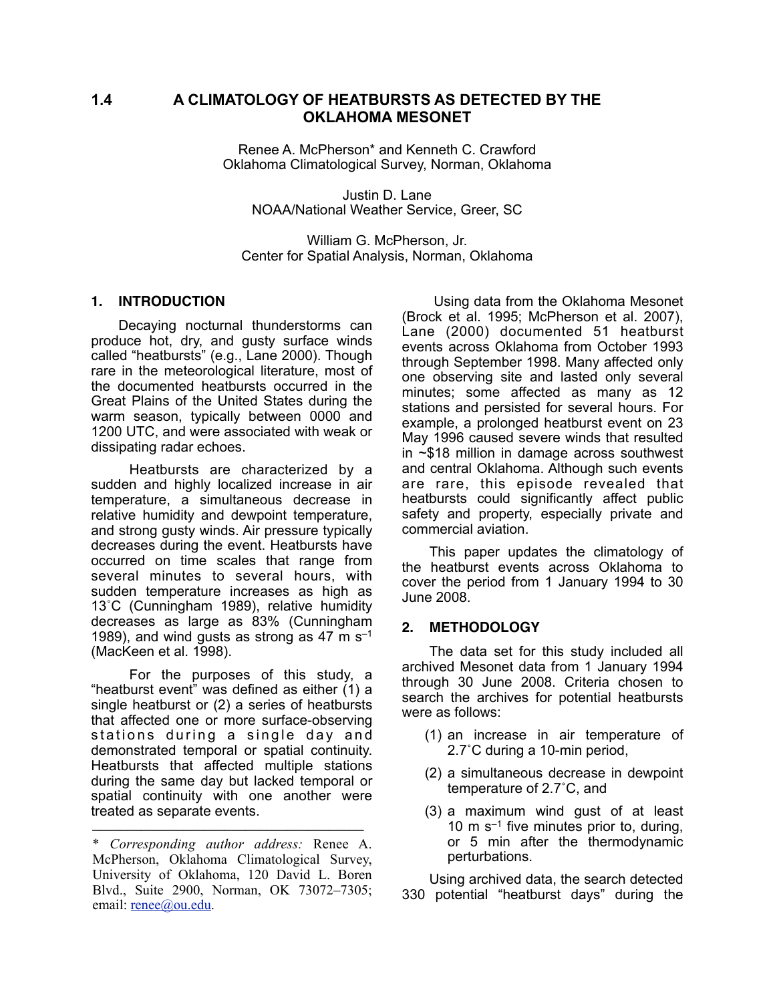# **1.4 A CLIMATOLOGY OF HEATBURSTS AS DETECTED BY THE OKLAHOMA MESONET**

Renee A. McPherson\* and Kenneth C. Crawford Oklahoma Climatological Survey, Norman, Oklahoma

Justin D. Lane NOAA/National Weather Service, Greer, SC

William G. McPherson, Jr. Center for Spatial Analysis, Norman, Oklahoma

## **1. INTRODUCTION**

Decaying nocturnal thunderstorms can produce hot, dry, and gusty surface winds called "heatbursts" (e.g., Lane 2000). Though rare in the meteorological literature, most of the documented heatbursts occurred in the Great Plains of the United States during the warm season, typically between 0000 and 1200 UTC, and were associated with weak or dissipating radar echoes.

 Heatbursts are characterized by a sudden and highly localized increase in air temperature, a simultaneous decrease in relative humidity and dewpoint temperature, and strong gusty winds. Air pressure typically decreases during the event. Heatbursts have occurred on time scales that range from several minutes to several hours, with sudden temperature increases as high as 13˚C (Cunningham 1989), relative humidity decreases as large as 83% (Cunningham 1989), and wind gusts as strong as 47 m  $s^{-1}$ (MacKeen et al. 1998).

 For the purposes of this study, a "heatburst event" was defined as either (1) a single heatburst or (2) a series of heatbursts that affected one or more surface-observing stations during a single day and demonstrated temporal or spatial continuity. Heatbursts that affected multiple stations during the same day but lacked temporal or spatial continuity with one another were treated as separate events.

**–––––––––––––––––––––––––––––––––––––––**

 Using data from the Oklahoma Mesonet (Brock et al. 1995; McPherson et al. 2007), Lane (2000) documented 51 heatburst events across Oklahoma from October 1993 through September 1998. Many affected only one observing site and lasted only several minutes; some affected as many as 12 stations and persisted for several hours. For example, a prolonged heatburst event on 23 May 1996 caused severe winds that resulted in ~\$18 million in damage across southwest and central Oklahoma. Although such events are rare, this episode revealed that heatbursts could significantly affect public safety and property, especially private and commercial aviation.

This paper updates the climatology of the heatburst events across Oklahoma to cover the period from 1 January 1994 to 30 June 2008.

## **2. METHODOLOGY**

The data set for this study included all archived Mesonet data from 1 January 1994 through 30 June 2008. Criteria chosen to search the archives for potential heatbursts were as follows:

- (1) an increase in air temperature of 2.7˚C during a 10-min period,
- (2) a simultaneous decrease in dewpoint temperature of 2.7˚C, and
- (3) a maximum wind gust of at least 10 m  $s^{-1}$  five minutes prior to, during, or 5 min after the thermodynamic perturbations.

Using archived data, the search detected 330 potential "heatburst days" during the

<sup>\*</sup> *Corresponding author address:* Renee A. McPherson, Oklahoma Climatological Survey, University of Oklahoma, 120 David L. Boren Blvd., Suite 2900, Norman, OK 73072–7305; email: [renee@ou.edu.](mailto:renee@ou.edu)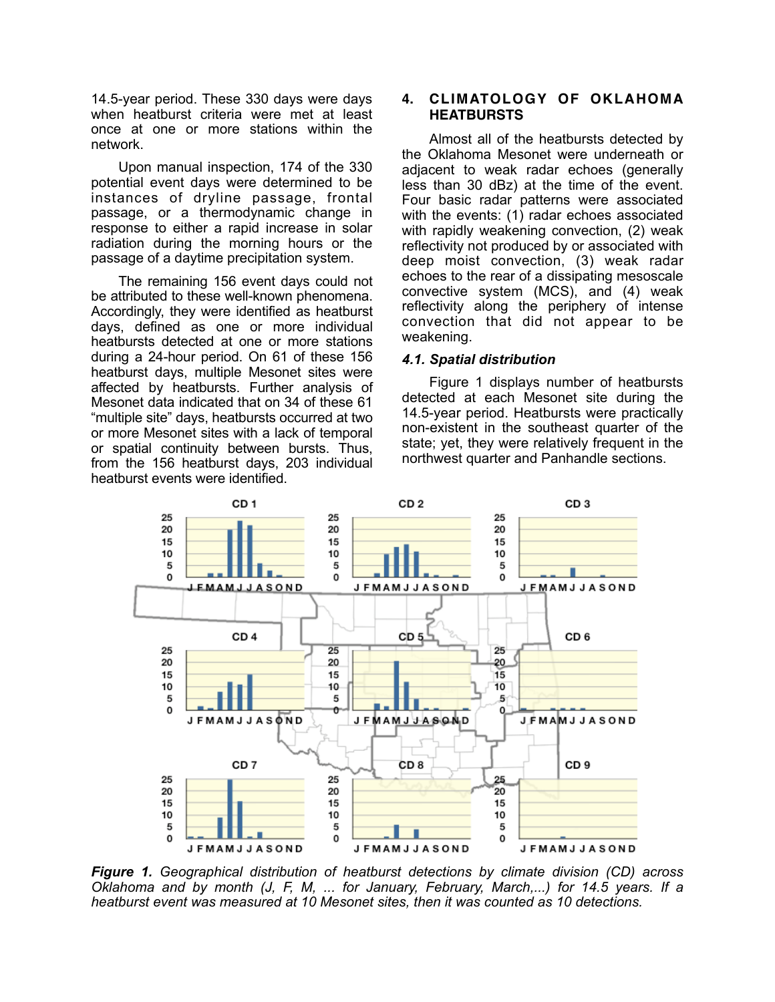14.5-year period. These 330 days were days when heatburst criteria were met at least once at one or more stations within the network.

Upon manual inspection, 174 of the 330 potential event days were determined to be instances of dryline passage, frontal passage, or a thermodynamic change in response to either a rapid increase in solar radiation during the morning hours or the passage of a daytime precipitation system.

The remaining 156 event days could not be attributed to these well-known phenomena. Accordingly, they were identified as heatburst days, defined as one or more individual heatbursts detected at one or more stations during a 24-hour period. On 61 of these 156 heatburst days, multiple Mesonet sites were affected by heatbursts. Further analysis of Mesonet data indicated that on 34 of these 61 "multiple site" days, heatbursts occurred at two or more Mesonet sites with a lack of temporal or spatial continuity between bursts. Thus, from the 156 heatburst days, 203 individual heatburst events were identified.

## **4. CLIMATOLOGY OF OKLAHOMA HEATBURSTS**

Almost all of the heatbursts detected by the Oklahoma Mesonet were underneath or adjacent to weak radar echoes (generally less than 30 dBz) at the time of the event. Four basic radar patterns were associated with the events: (1) radar echoes associated with rapidly weakening convection, (2) weak reflectivity not produced by or associated with deep moist convection, (3) weak radar echoes to the rear of a dissipating mesoscale convective system (MCS), and (4) weak reflectivity along the periphery of intense convection that did not appear to be weakening.

## *4.1. Spatial distribution*

Figure 1 displays number of heatbursts detected at each Mesonet site during the 14.5-year period. Heatbursts were practically non-existent in the southeast quarter of the state; yet, they were relatively frequent in the northwest quarter and Panhandle sections.



*Figure 1. Geographical distribution of heatburst detections by climate division (CD) across Oklahoma and by month (J, F, M, ... for January, February, March,...) for 14.5 years. If a heatburst event was measured at 10 Mesonet sites, then it was counted as 10 detections.*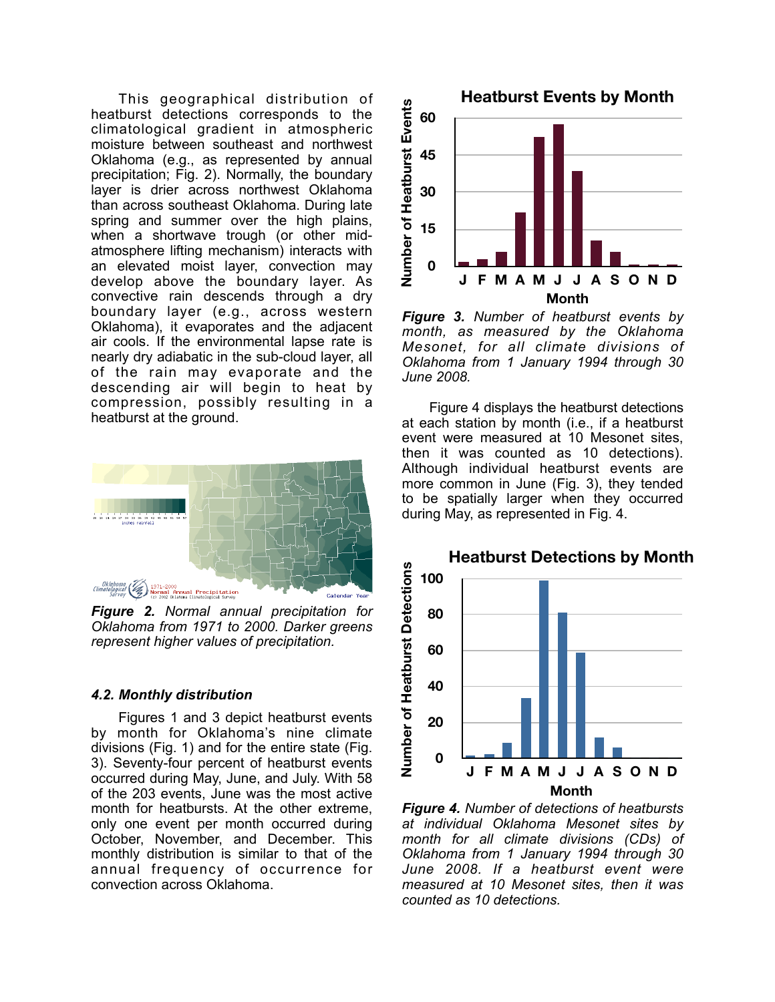This geographical distribution of heatburst detections corresponds to the climatological gradient in atmospheric moisture between southeast and northwest Oklahoma (e.g., as represented by annual precipitation; Fig. 2). Normally, the boundary layer is drier across northwest Oklahoma than across southeast Oklahoma. During late spring and summer over the high plains, when a shortwave trough (or other midatmosphere lifting mechanism) interacts with an elevated moist layer, convection may develop above the boundary layer. As convective rain descends through a dry boundary layer (e.g., across western Oklahoma), it evaporates and the adjacent air cools. If the environmental lapse rate is nearly dry adiabatic in the sub-cloud layer, all of the rain may evaporate and the descending air will begin to heat by compression, possibly resulting in a heatburst at the ground.



*Figure 2. Normal annual precipitation for Oklahoma from 1971 to 2000. Darker greens represent higher values of precipitation.*

#### *4.2. Monthly distribution*

Figures 1 and 3 depict heatburst events by month for Oklahoma's nine climate divisions (Fig. 1) and for the entire state (Fig. 3). Seventy-four percent of heatburst events occurred during May, June, and July. With 58 of the 203 events, June was the most active month for heatbursts. At the other extreme, only one event per month occurred during October, November, and December. This monthly distribution is similar to that of the annual frequency of occurrence for convection across Oklahoma.



*Figure 3. Number of heatburst events by month, as measured by the Oklahoma Mesonet, for all climate divisions of Oklahoma from 1 January 1994 through 30 June 2008.*

Figure 4 displays the heatburst detections at each station by month (i.e., if a heatburst event were measured at 10 Mesonet sites, then it was counted as 10 detections). Although individual heatburst events are more common in June (Fig. 3), they tended to be spatially larger when they occurred during May, as represented in Fig. 4.



*Figure 4. Number of detections of heatbursts at individual Oklahoma Mesonet sites by month for all climate divisions (CDs) of Oklahoma from 1 January 1994 through 30 June 2008. If a heatburst event were measured at 10 Mesonet sites, then it was counted as 10 detections.*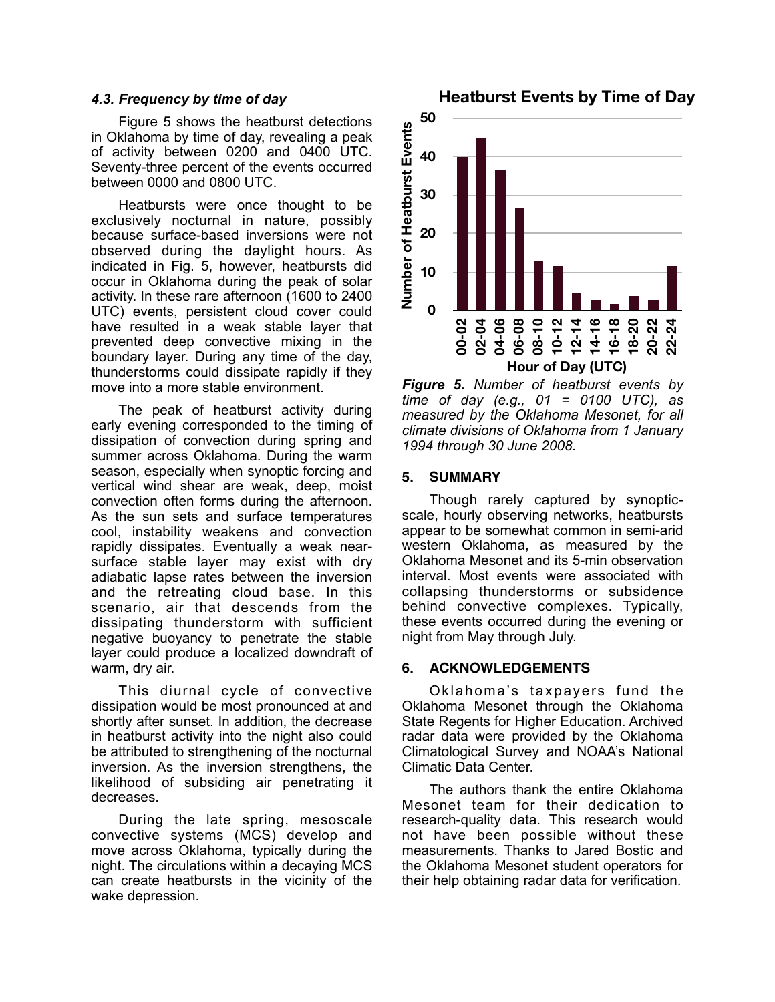### *4.3. Frequency by time of day*

Figure 5 shows the heatburst detections in Oklahoma by time of day, revealing a peak of activity between 0200 and 0400 UTC. Seventy-three percent of the events occurred between 0000 and 0800 UTC.

Heatbursts were once thought to be exclusively nocturnal in nature, possibly because surface-based inversions were not observed during the daylight hours. As indicated in Fig. 5, however, heatbursts did occur in Oklahoma during the peak of solar activity. In these rare afternoon (1600 to 2400 UTC) events, persistent cloud cover could have resulted in a weak stable layer that prevented deep convective mixing in the boundary layer. During any time of the day, thunderstorms could dissipate rapidly if they move into a more stable environment.

The peak of heatburst activity during early evening corresponded to the timing of dissipation of convection during spring and summer across Oklahoma. During the warm season, especially when synoptic forcing and vertical wind shear are weak, deep, moist convection often forms during the afternoon. As the sun sets and surface temperatures cool, instability weakens and convection rapidly dissipates. Eventually a weak nearsurface stable layer may exist with dry adiabatic lapse rates between the inversion and the retreating cloud base. In this scenario, air that descends from the dissipating thunderstorm with sufficient negative buoyancy to penetrate the stable layer could produce a localized downdraft of warm, dry air.

This diurnal cycle of convective dissipation would be most pronounced at and shortly after sunset. In addition, the decrease in heatburst activity into the night also could be attributed to strengthening of the nocturnal inversion. As the inversion strengthens, the likelihood of subsiding air penetrating it decreases.

During the late spring, mesoscale convective systems (MCS) develop and move across Oklahoma, typically during the night. The circulations within a decaying MCS can create heatbursts in the vicinity of the wake depression.

**30 40 50**



#### **5. SUMMARY**

**0**

**10**

**20**

**Number of Heatburst Events**

Number of Heatburst Events

Though rarely captured by synopticscale, hourly observing networks, heatbursts appear to be somewhat common in semi-arid western Oklahoma, as measured by the Oklahoma Mesonet and its 5-min observation interval. Most events were associated with collapsing thunderstorms or subsidence behind convective complexes. Typically, these events occurred during the evening or night from May through July.

#### **6. ACKNOWLEDGEMENTS**

Oklahoma's taxpayers fund the Oklahoma Mesonet through the Oklahoma State Regents for Higher Education. Archived radar data were provided by the Oklahoma Climatological Survey and NOAA's National Climatic Data Center.

The authors thank the entire Oklahoma Mesonet team for their dedication to research-quality data. This research would not have been possible without these measurements. Thanks to Jared Bostic and the Oklahoma Mesonet student operators for their help obtaining radar data for verification.

**Heatburst Events by Time of Day**